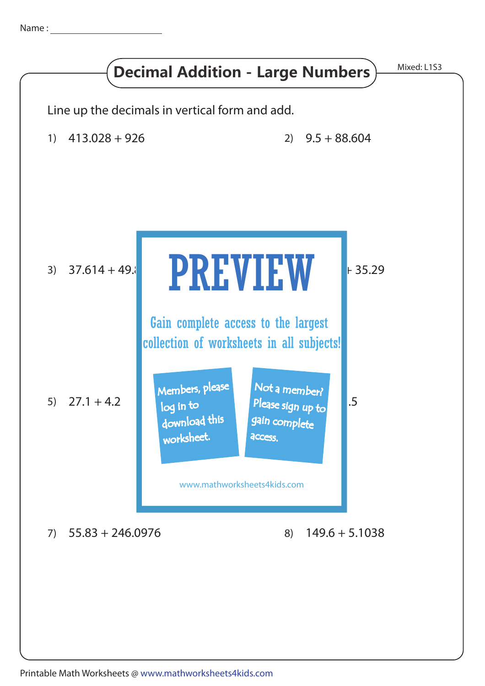